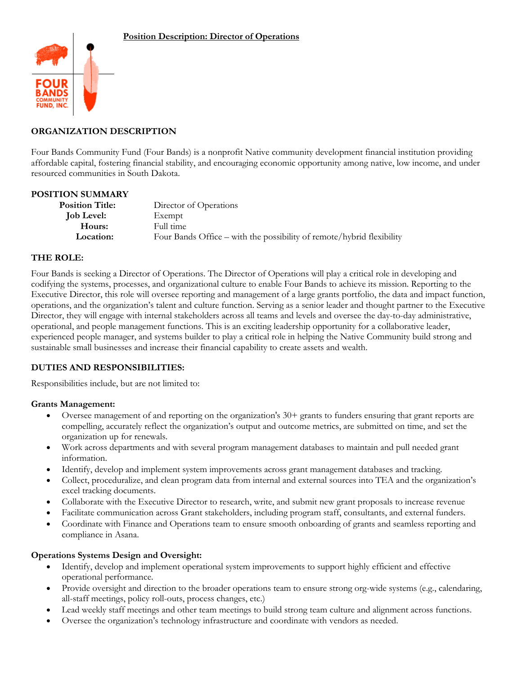

# **ORGANIZATION DESCRIPTION**

Four Bands Community Fund (Four Bands) is a nonprofit Native community development financial institution providing affordable capital, fostering financial stability, and encouraging economic opportunity among native, low income, and under resourced communities in South Dakota.

#### **POSITION SUMMARY**

| <b>Position Title:</b> | Director of Operations                                                |
|------------------------|-----------------------------------------------------------------------|
| <b>Job Level:</b>      | Exempt                                                                |
| Hours:                 | Full time                                                             |
| Location:              | Four Bands Office – with the possibility of remote/hybrid flexibility |

### **THE ROLE:**

Four Bands is seeking a Director of Operations. The Director of Operations will play a critical role in developing and codifying the systems, processes, and organizational culture to enable Four Bands to achieve its mission. Reporting to the Executive Director, this role will oversee reporting and management of a large grants portfolio, the data and impact function, operations, and the organization's talent and culture function. Serving as a senior leader and thought partner to the Executive Director, they will engage with internal stakeholders across all teams and levels and oversee the day-to-day administrative, operational, and people management functions. This is an exciting leadership opportunity for a collaborative leader, experienced people manager, and systems builder to play a critical role in helping the Native Community build strong and sustainable small businesses and increase their financial capability to create assets and wealth.

#### **DUTIES AND RESPONSIBILITIES:**

Responsibilities include, but are not limited to:

#### **Grants Management:**

- Oversee management of and reporting on the organization's 30+ grants to funders ensuring that grant reports are compelling, accurately reflect the organization's output and outcome metrics, are submitted on time, and set the organization up for renewals.
- Work across departments and with several program management databases to maintain and pull needed grant information.
- Identify, develop and implement system improvements across grant management databases and tracking.
- Collect, proceduralize, and clean program data from internal and external sources into TEA and the organization's excel tracking documents.
- Collaborate with the Executive Director to research, write, and submit new grant proposals to increase revenue
- Facilitate communication across Grant stakeholders, including program staff, consultants, and external funders.
- Coordinate with Finance and Operations team to ensure smooth onboarding of grants and seamless reporting and compliance in Asana.

#### **Operations Systems Design and Oversight:**

- Identify, develop and implement operational system improvements to support highly efficient and effective operational performance.
- Provide oversight and direction to the broader operations team to ensure strong org-wide systems (e.g., calendaring, all-staff meetings, policy roll-outs, process changes, etc.)
- Lead weekly staff meetings and other team meetings to build strong team culture and alignment across functions.
- Oversee the organization's technology infrastructure and coordinate with vendors as needed.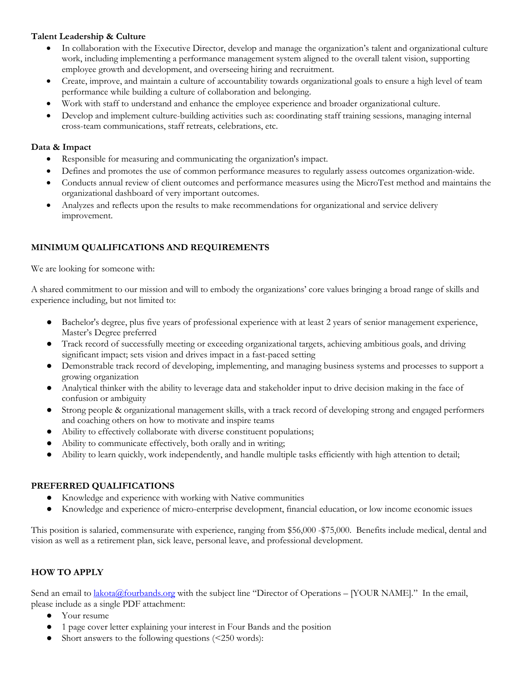### **Talent Leadership & Culture**

- In collaboration with the Executive Director, develop and manage the organization's talent and organizational culture work, including implementing a performance management system aligned to the overall talent vision, supporting employee growth and development, and overseeing hiring and recruitment.
- Create, improve, and maintain a culture of accountability towards organizational goals to ensure a high level of team performance while building a culture of collaboration and belonging.
- Work with staff to understand and enhance the employee experience and broader organizational culture.
- Develop and implement culture-building activities such as: coordinating staff training sessions, managing internal cross-team communications, staff retreats, celebrations, etc.

### **Data & Impact**

- Responsible for measuring and communicating the organization's impact.
- Defines and promotes the use of common performance measures to regularly assess outcomes organization-wide.
- Conducts annual review of client outcomes and performance measures using the MicroTest method and maintains the organizational dashboard of very important outcomes.
- Analyzes and reflects upon the results to make recommendations for organizational and service delivery improvement.

# **MINIMUM QUALIFICATIONS AND REQUIREMENTS**

We are looking for someone with:

A shared commitment to our mission and will to embody the organizations' core values bringing a broad range of skills and experience including, but not limited to:

- Bachelor's degree, plus five years of professional experience with at least 2 years of senior management experience, Master's Degree preferred
- Track record of successfully meeting or exceeding organizational targets, achieving ambitious goals, and driving significant impact; sets vision and drives impact in a fast-paced setting
- Demonstrable track record of developing, implementing, and managing business systems and processes to support a growing organization
- Analytical thinker with the ability to leverage data and stakeholder input to drive decision making in the face of confusion or ambiguity
- Strong people & organizational management skills, with a track record of developing strong and engaged performers and coaching others on how to motivate and inspire teams
- Ability to effectively collaborate with diverse constituent populations;
- Ability to communicate effectively, both orally and in writing;
- Ability to learn quickly, work independently, and handle multiple tasks efficiently with high attention to detail;

# **PREFERRED QUALIFICATIONS**

- Knowledge and experience with working with Native communities
- Knowledge and experience of micro-enterprise development, financial education, or low income economic issues

This position is salaried, commensurate with experience, ranging from \$56,000 -\$75,000. Benefits include medical, dental and vision as well as a retirement plan, sick leave, personal leave, and professional development.

# **HOW TO APPLY**

Send an email to *lakota@fourbands.org* with the subject line "Director of Operations – [YOUR NAME]." In the email, please include as a single PDF attachment:

- Your resume
- 1 page cover letter explaining your interest in Four Bands and the position
- Short answers to the following questions  $\leq 250$  words):